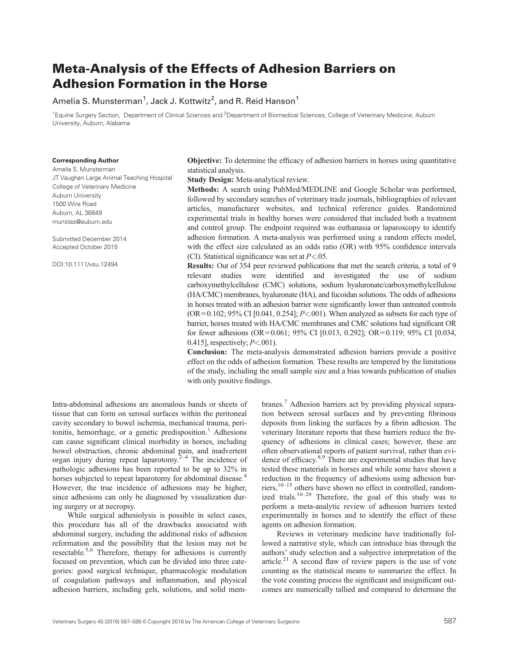# Meta-Analysis of the Effects of Adhesion Barriers on Adhesion Formation in the Horse

Amelia S. Munsterman<sup>1</sup>, Jack J. Kottwitz<sup>2</sup>, and R. Reid Hanson<sup>1</sup>

<sup>1</sup> Equine Surgery Section, Department of Clinical Sciences and <sup>2</sup> Department of Biomedical Sciences, College of Veterinary Medicine, Auburn University, Auburn, Alabama

#### Corresponding Author

Amelia S. Munsterman JT Vaughan Large Animal Teaching Hospital College of Veterinary Medicine Auburn University 1500 Wire Road Auburn, AL 36849 munstas@auburn.edu

Submitted December 2014 Accepted October 2015

DOI:10.1111/vsu.12494

Objective: To determine the efficacy of adhesion barriers in horses using quantitative statistical analysis.

Study Design: Meta-analytical review.

Methods: A search using PubMed/MEDLINE and Google Scholar was performed, followed by secondary searches of veterinary trade journals, bibliographies of relevant articles, manufacturer websites, and technical reference guides. Randomized experimental trials in healthy horses were considered that included both a treatment and control group. The endpoint required was euthanasia or laparoscopy to identify adhesion formation. A meta-analysis was performed using a random effects model, with the effect size calculated as an odds ratio (OR) with 95% confidence intervals (CI). Statistical significance was set at  $P < 0.05$ .

Results: Out of 354 peer reviewed publications that met the search criteria, a total of 9 relevant studies were identified and investigated the use of sodium carboxymethylcellulose (CMC) solutions, sodium hyaluronate/carboxymethylcellulose (HA/CMC) membranes, hyaluronate (HA), and fucoidan solutions. The odds of adhesions in horses treated with an adhesion barrier were significantly lower than untreated controls  $(OR=0.102; 95% \text{ CI } [0.041, 0.254]; P<0.001)$ . When analyzed as subsets for each type of barrier, horses treated with HA/CMC membranes and CMC solutions had significant OR for fewer adhesions (OR=0.061; 95% CI [0.013, 0.292]; OR=0.119; 95% CI [0.034, 0.415], respectively;  $P < 001$ ).

Conclusion: The meta-analysis demonstrated adhesion barriers provide a positive effect on the odds of adhesion formation. These results are tempered by the limitations of the study, including the small sample size and a bias towards publication of studies with only positive findings.

Intra-abdominal adhesions are anomalous bands or sheets of tissue that can form on serosal surfaces within the peritoneal cavity secondary to bowel ischemia, mechanical trauma, peritonitis, hemorrhage, or a genetic predisposition.<sup>1</sup> Adhesions can cause significant clinical morbidity in horses, including bowel obstruction, chronic abdominal pain, and inadvertent organ injury during repeat laparotomy.2–4 The incidence of pathologic adhesions has been reported to be up to 32% in horses subjected to repeat laparotomy for abdominal disease.<sup>4</sup> However, the true incidence of adhesions may be higher, since adhesions can only be diagnosed by visualization during surgery or at necropsy.

While surgical adhesiolysis is possible in select cases, this procedure has all of the drawbacks associated with abdominal surgery, including the additional risks of adhesion reformation and the possibility that the lesion may not be resectable.<sup>5,6</sup> Therefore, therapy for adhesions is currently focused on prevention, which can be divided into three categories: good surgical technique, pharmacologic modulation of coagulation pathways and inflammation, and physical adhesion barriers, including gels, solutions, and solid membranes.<sup>7</sup> Adhesion barriers act by providing physical separation between serosal surfaces and by preventing fibrinous deposits from linking the surfaces by a fibrin adhesion. The veterinary literature reports that these barriers reduce the frequency of adhesions in clinical cases; however, these are often observational reports of patient survival, rather than evidence of efficacy.<sup>8,9</sup> There are experimental studies that have tested these materials in horses and while some have shown a reduction in the frequency of adhesions using adhesion barriers,  $10-15$  others have shown no effect in controlled, randomized trials.<sup>16–20</sup> Therefore, the goal of this study was to perform a meta-analytic review of adhesion barriers tested experimentally in horses and to identify the effect of these agents on adhesion formation.

Reviews in veterinary medicine have traditionally followed a narrative style, which can introduce bias through the authors' study selection and a subjective interpretation of the article. $21$  A second flaw of review papers is the use of vote counting as the statistical means to summarize the effect. In the vote counting process the significant and insignificant outcomes are numerically tallied and compared to determine the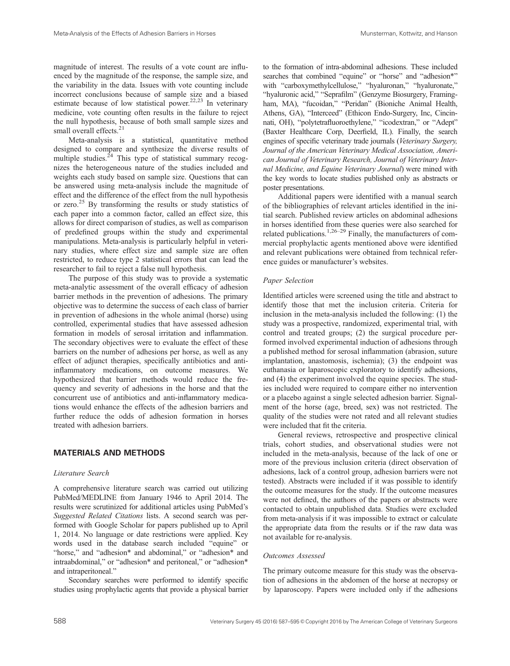magnitude of interest. The results of a vote count are influenced by the magnitude of the response, the sample size, and the variability in the data. Issues with vote counting include incorrect conclusions because of sample size and a biased estimate because of low statistical power.<sup>22,23</sup> In veterinary medicine, vote counting often results in the failure to reject the null hypothesis, because of both small sample sizes and small overall effects.<sup>21</sup>

Meta-analysis is a statistical, quantitative method designed to compare and synthesize the diverse results of multiple studies. $^{24}$  This type of statistical summary recognizes the heterogeneous nature of the studies included and weights each study based on sample size. Questions that can be answered using meta-analysis include the magnitude of effect and the difference of the effect from the null hypothesis or zero.<sup>25</sup> By transforming the results or study statistics of each paper into a common factor, called an effect size, this allows for direct comparison of studies, as well as comparison of predefined groups within the study and experimental manipulations. Meta-analysis is particularly helpful in veterinary studies, where effect size and sample size are often restricted, to reduce type 2 statistical errors that can lead the researcher to fail to reject a false null hypothesis.

The purpose of this study was to provide a systematic meta-analytic assessment of the overall efficacy of adhesion barrier methods in the prevention of adhesions. The primary objective was to determine the success of each class of barrier in prevention of adhesions in the whole animal (horse) using controlled, experimental studies that have assessed adhesion formation in models of serosal irritation and inflammation. The secondary objectives were to evaluate the effect of these barriers on the number of adhesions per horse, as well as any effect of adjunct therapies, specifically antibiotics and antiinflammatory medications, on outcome measures. We hypothesized that barrier methods would reduce the frequency and severity of adhesions in the horse and that the concurrent use of antibiotics and anti-inflammatory medications would enhance the effects of the adhesion barriers and further reduce the odds of adhesion formation in horses treated with adhesion barriers.

# MATERIALS AND METHODS

#### Literature Search

A comprehensive literature search was carried out utilizing PubMed/MEDLINE from January 1946 to April 2014. The results were scrutinized for additional articles using PubMed's Suggested Related Citations lists. A second search was performed with Google Scholar for papers published up to April 1, 2014. No language or date restrictions were applied. Key words used in the database search included "equine" or "horse," and "adhesion\* and abdominal," or "adhesion\* and intraabdominal," or "adhesion\* and peritoneal," or "adhesion\* and intraperitoneal."

Secondary searches were performed to identify specific studies using prophylactic agents that provide a physical barrier

to the formation of intra-abdominal adhesions. These included searches that combined "equine" or "horse" and "adhesion\*" with "carboxymethylcellulose," "hyaluronan," "hyaluronate," "hyaluronic acid," "Seprafilm" (Genzyme Biosurgery, Framingham, MA), "fucoidan," "Peridan" (Bioniche Animal Health, Athens, GA), "Interceed" (Ethicon Endo-Surgery, Inc, Cincinnati, OH), "polytetrafluoroethylene," "icodextran," or "Adept" (Baxter Healthcare Corp, Deerfield, IL). Finally, the search engines of specific veterinary trade journals (Veterinary Surgery, Journal of the American Veterinary Medical Association, American Journal of Veterinary Research, Journal of Veterinary Internal Medicine, and Equine Veterinary Journal) were mined with the key words to locate studies published only as abstracts or poster presentations.

Additional papers were identified with a manual search of the bibliographies of relevant articles identified in the initial search. Published review articles on abdominal adhesions in horses identified from these queries were also searched for related publications.<sup>1,26–29</sup> Finally, the manufacturers of commercial prophylactic agents mentioned above were identified and relevant publications were obtained from technical reference guides or manufacturer's websites.

#### Paper Selection

Identified articles were screened using the title and abstract to identify those that met the inclusion criteria. Criteria for inclusion in the meta-analysis included the following: (1) the study was a prospective, randomized, experimental trial, with control and treated groups; (2) the surgical procedure performed involved experimental induction of adhesions through a published method for serosal inflammation (abrasion, suture implantation, anastomosis, ischemia); (3) the endpoint was euthanasia or laparoscopic exploratory to identify adhesions, and (4) the experiment involved the equine species. The studies included were required to compare either no intervention or a placebo against a single selected adhesion barrier. Signalment of the horse (age, breed, sex) was not restricted. The quality of the studies were not rated and all relevant studies were included that fit the criteria.

General reviews, retrospective and prospective clinical trials, cohort studies, and observational studies were not included in the meta-analysis, because of the lack of one or more of the previous inclusion criteria (direct observation of adhesions, lack of a control group, adhesion barriers were not tested). Abstracts were included if it was possible to identify the outcome measures for the study. If the outcome measures were not defined, the authors of the papers or abstracts were contacted to obtain unpublished data. Studies were excluded from meta-analysis if it was impossible to extract or calculate the appropriate data from the results or if the raw data was not available for re-analysis.

#### Outcomes Assessed

The primary outcome measure for this study was the observation of adhesions in the abdomen of the horse at necropsy or by laparoscopy. Papers were included only if the adhesions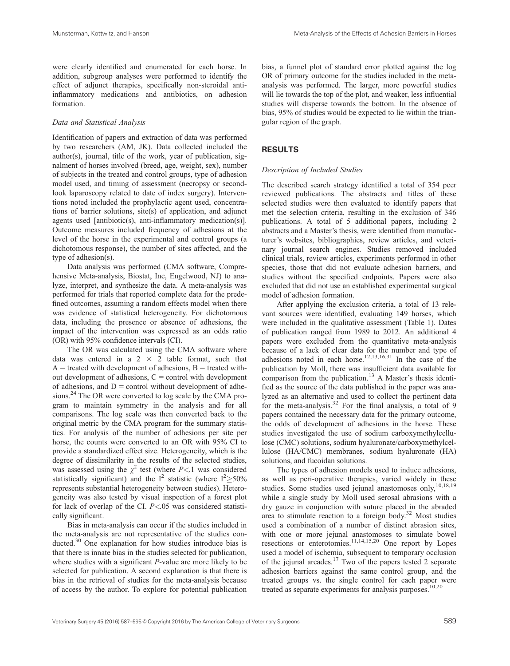were clearly identified and enumerated for each horse. In addition, subgroup analyses were performed to identify the effect of adjunct therapies, specifically non-steroidal antiinflammatory medications and antibiotics, on adhesion formation.

## Data and Statistical Analysis

Identification of papers and extraction of data was performed by two researchers (AM, JK). Data collected included the author(s), journal, title of the work, year of publication, signalment of horses involved (breed, age, weight, sex), number of subjects in the treated and control groups, type of adhesion model used, and timing of assessment (necropsy or secondlook laparoscopy related to date of index surgery). Interventions noted included the prophylactic agent used, concentrations of barrier solutions, site(s) of application, and adjunct agents used [antibiotic(s), anti-inflammatory medication(s)]. Outcome measures included frequency of adhesions at the level of the horse in the experimental and control groups (a dichotomous response), the number of sites affected, and the type of adhesion(s).

Data analysis was performed (CMA software, Comprehensive Meta-analysis, Biostat, Inc, Engelwood, NJ) to analyze, interpret, and synthesize the data. A meta-analysis was performed for trials that reported complete data for the predefined outcomes, assuming a random effects model when there was evidence of statistical heterogeneity. For dichotomous data, including the presence or absence of adhesions, the impact of the intervention was expressed as an odds ratio (OR) with 95% confidence intervals (CI).

The OR was calculated using the CMA software where data was entered in a  $2 \times 2$  table format, such that  $A$  = treated with development of adhesions, B = treated without development of adhesions,  $C =$  control with development of adhesions, and  $D =$  control without development of adhesions.<sup>24</sup> The OR were converted to log scale by the CMA program to maintain symmetry in the analysis and for all comparisons. The log scale was then converted back to the original metric by the CMA program for the summary statistics. For analysis of the number of adhesions per site per horse, the counts were converted to an OR with 95% CI to provide a standardized effect size. Heterogeneity, which is the degree of dissimilarity in the results of the selected studies, was assessed using the  $\chi^2$  test (where P<.1 was considered statistically significant) and the  $I^2$  statistic (where  $I^2 \ge 50\%$ represents substantial heterogeneity between studies). Heterogeneity was also tested by visual inspection of a forest plot for lack of overlap of the CI.  $P \le 0.05$  was considered statistically significant.

Bias in meta-analysis can occur if the studies included in the meta-analysis are not representative of the studies conducted.<sup>30</sup> One explanation for how studies introduce bias is that there is innate bias in the studies selected for publication, where studies with a significant *P*-value are more likely to be selected for publication. A second explanation is that there is bias in the retrieval of studies for the meta-analysis because of access by the author. To explore for potential publication bias, a funnel plot of standard error plotted against the log OR of primary outcome for the studies included in the metaanalysis was performed. The larger, more powerful studies will lie towards the top of the plot, and weaker, less influential studies will disperse towards the bottom. In the absence of bias, 95% of studies would be expected to lie within the triangular region of the graph.

## RESULTS

## Description of Included Studies

The described search strategy identified a total of 354 peer reviewed publications. The abstracts and titles of these selected studies were then evaluated to identify papers that met the selection criteria, resulting in the exclusion of 346 publications. A total of 5 additional papers, including 2 abstracts and a Master's thesis, were identified from manufacturer's websites, bibliographies, review articles, and veterinary journal search engines. Studies removed included clinical trials, review articles, experiments performed in other species, those that did not evaluate adhesion barriers, and studies without the specified endpoints. Papers were also excluded that did not use an established experimental surgical model of adhesion formation.

After applying the exclusion criteria, a total of 13 relevant sources were identified, evaluating 149 horses, which were included in the qualitative assessment (Table 1). Dates of publication ranged from 1989 to 2012. An additional 4 papers were excluded from the quantitative meta-analysis because of a lack of clear data for the number and type of adhesions noted in each horse.<sup>12,13,16,31</sup> In the case of the publication by Moll, there was insufficient data available for comparison from the publication.<sup>13</sup> A Master's thesis identified as the source of the data published in the paper was analyzed as an alternative and used to collect the pertinent data for the meta-analysis.<sup>32</sup> For the final analysis, a total of 9 papers contained the necessary data for the primary outcome, the odds of development of adhesions in the horse. These studies investigated the use of sodium carboxymethylcellulose (CMC) solutions, sodium hyaluronate/carboxymethylcellulose (HA/CMC) membranes, sodium hyaluronate (HA) solutions, and fucoidan solutions.

The types of adhesion models used to induce adhesions, as well as peri-operative therapies, varied widely in these studies. Some studies used jejunal anastomoses only,<sup>10,18,19</sup> while a single study by Moll used serosal abrasions with a dry gauze in conjunction with suture placed in the abraded area to stimulate reaction to a foreign body.<sup>32</sup> Most studies used a combination of a number of distinct abrasion sites, with one or more jejunal anastomoses to simulate bowel resections or enterotomies.<sup>11,14,15,20</sup> One report by Lopes used a model of ischemia, subsequent to temporary occlusion of the jejunal arcades.<sup>17</sup> Two of the papers tested 2 separate adhesion barriers against the same control group, and the treated groups vs. the single control for each paper were treated as separate experiments for analysis purposes.<sup>10,20</sup>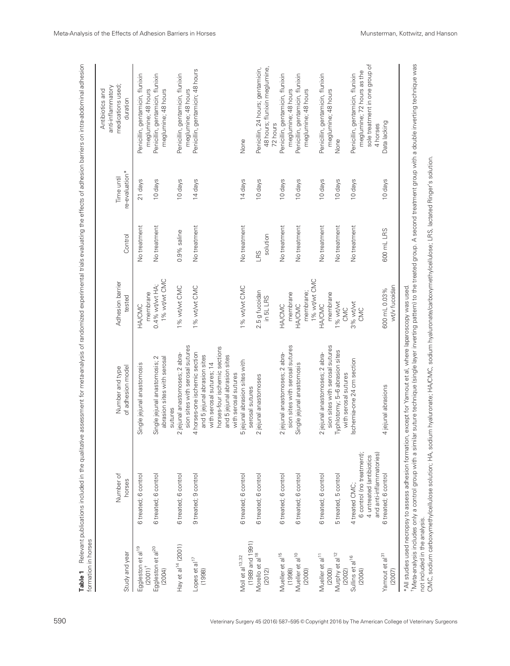|                                                |                                                                                                     |                                                                                                                                                                                    |                                     |                        |                              | anti-inflammatory<br>Antibiotics and                                                                         |
|------------------------------------------------|-----------------------------------------------------------------------------------------------------|------------------------------------------------------------------------------------------------------------------------------------------------------------------------------------|-------------------------------------|------------------------|------------------------------|--------------------------------------------------------------------------------------------------------------|
| Study and year                                 | Number of<br>horses                                                                                 | of adhesion model<br>Number and type                                                                                                                                               | Adhesion barrier<br>tested          | Control                | re-evaluation*<br>Time until | medications used;<br>duration                                                                                |
| Eggleston et al <sup>19</sup><br>$(2001)^+$    | 6 treated; 6 control                                                                                | Single jejunal anastomosis                                                                                                                                                         | membrane<br>HA/CMC                  | No treatment           | 21 days                      | Penicillin, gentamicin, flunixin<br>meglumine; 48 hours                                                      |
| Eggleston et al <sup>20</sup><br>(2004)        | 6 treated; 6 control                                                                                | $\sim$<br>abrasion sites with serosal<br>Single jejunal anastomosis;<br>sutures                                                                                                    | 1% wt/wt CMC<br>0.4% wt/wt HA;      | No treatment           | 10 days                      | Penicillin, gentamicin, flunixin<br>meglumine; 48 hours                                                      |
| Hay et al <sup>14</sup> (2001)                 | 6 treated; 6 control                                                                                | sion sites with serosal sutures<br>2 jejunal anastomoses; 2 abra-                                                                                                                  | 1% wt/wt CMC                        | $0.9%$ saline          | 10 days                      | Penicillin, gentamicin, flunixin<br>meglumine; 48 hours                                                      |
| Lopes et al <sup>17</sup><br>(1998)            | 9 treated; 9 control                                                                                | horses-four ischemic sections<br>4 horses-one ischemic section<br>and 5 jejunal abrasion sites<br>and 5 jejunal abrasion sites<br>with serosal sutures; 14<br>with serosal sutures | 1% wt/wt CMC                        | No treatment           | 14 days                      | Penicillin, gentamicin; 48 hours                                                                             |
| (1989 and 1991)<br>Moll et al <sup>13,32</sup> | 6 treated; 6 control                                                                                | 5 jejunal abrasion sites with<br>serosal sutures                                                                                                                                   | 1% wt/wt CMC                        | No treatment           | 14 days                      | None                                                                                                         |
| Morello et al <sup>18</sup><br>(2012)          | 6 treated; 6 control                                                                                | 2 jejunal anastomoses                                                                                                                                                              | 2.5 g fucoidan<br>in 5L LRS         | solution<br><b>LRS</b> | 10 days                      | 48 hours; flunixin meglumine,<br>Penicillin, 24 hours; gentamicin,<br>72 hours                               |
| Mueller et al <sup>15</sup><br>(1998)          | 6 treated; 6 control                                                                                | sion sites with serosal sutures<br>2 jejunal anastomoses; 2 abra-                                                                                                                  | membrane<br>HA/CMC                  | No treatment           | 10 days                      | Penicillin, gentamicin, flunixin<br>meglumine; 48 hours                                                      |
| Mueller et al <sup>10</sup><br>(2000)          | 6 treated; 6 control                                                                                | Single jejunal anastomosis                                                                                                                                                         | 1% wt/wt CMC<br>membrane;<br>HA/CMC | No treatment           | 10 days                      | Penicillin, gentamicin, flunixin<br>meglumine; 48 hours                                                      |
| Mueller et al <sup>11</sup><br>(2000)          | 6 treated; 6 control                                                                                | sion sites with serosal sutures<br>2 jejunal anastomoses; 2 abra-                                                                                                                  | membrane<br>HA/CMC                  | No treatment           | 10 days                      | Penicillin, gentamicin, flunixin<br>meglumine; 48 hours                                                      |
| Murphy et al <sup>12</sup><br>(2002)           | 5 treated, 5 control                                                                                | Typhlotomy; 5-6 abrasion sites<br>with serosal sutures                                                                                                                             | 1% wt/wt<br>CMC                     | No treatment           | 10 days                      | None                                                                                                         |
| Sullins et al <sup>16</sup><br>(2004)          | 6 control (no treatment);<br>and anti-inflammatories)<br>4 untreated (antibiotics<br>4 treated CMC; | Ischemia-one 24 cm section                                                                                                                                                         | 3% wt/wt<br>CMC                     | No treatment           | 10 days                      | sole treatment in one group of<br>meglumine; 72 hours as the<br>Penicillin, gentamicin, flunixin<br>4 horses |
| Yamout et al <sup>31</sup><br>(2007)           | 6 treated; 6 control                                                                                | 4 jejunal abrasions                                                                                                                                                                | wt/v fucoidan<br>600 mL 0.03%       | 600 mL LRS             | 10 days                      | Data lacking                                                                                                 |

not included in the analysis.

not included in the analysis.

CMC, sodium carboxymethylcellulose solution; HA, sodium hyaluronate; HA/CMC, sodium hyaluronate/carboxymethylcellulose; LRS, lactated Ringer's solution.

CMC, sodium carboxymethyloellulose solution; HA, sodium hyaluronate; HA/CMC, sodium hyaluronate/carboxymethyloellulose; LRS, lectated Ringer's solution.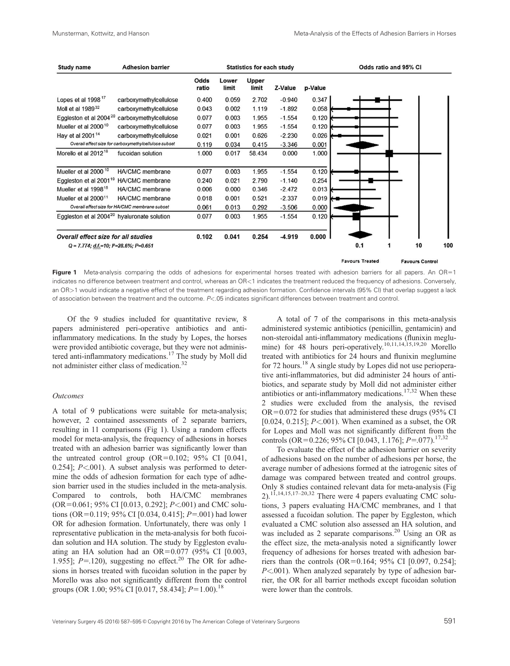| <b>Study name</b>                       | <b>Adhesion barrier</b>                                 |               |                | <b>Statistics for each study</b> |          |         | Odds ratio and 95% CI  |  |                        |     |
|-----------------------------------------|---------------------------------------------------------|---------------|----------------|----------------------------------|----------|---------|------------------------|--|------------------------|-----|
|                                         |                                                         | Odds<br>ratio | Lower<br>limit | Upper<br>limit                   | Z-Value  | p-Value |                        |  |                        |     |
| Lopes et al 1998 <sup>17</sup>          | carboxymethylcellulose                                  | 0.400         | 0.059          | 2.702                            | $-0.940$ | 0.347   |                        |  |                        |     |
| Moll et al 1989 <sup>32</sup>           | carboxymethylcellulose                                  | 0.043         | 0.002          | 1.119                            | $-1.892$ | 0.058   |                        |  |                        |     |
| Eggleston et al 2004 <sup>20</sup>      | carboxymethylcellulose                                  | 0.077         | 0.003          | 1.955                            | $-1.554$ | 0.120   |                        |  |                        |     |
| Mueller et al 2000 <sup>10</sup>        | carboxymethylcellulose                                  | 0.077         | 0.003          | 1.955                            | $-1.554$ | 0.120   |                        |  |                        |     |
| Hay et al 2001 <sup>14</sup>            | carboxymethylcellulose                                  | 0.021         | 0.001          | 0.626                            | $-2.230$ | 0.026   |                        |  |                        |     |
|                                         | Overall effect size for carboxymethylcellulose subset   | 0.119         | 0.034          | 0.415                            | $-3.346$ | 0.001   |                        |  |                        |     |
| Morello et al 2012 <sup>18</sup>        | fucoidan solution                                       | 1.000         | 0.017          | 58.434                           | 0.000    | 1.000   |                        |  |                        |     |
| Mueller et al 2000 <sup>10</sup>        | HA/CMC membrane                                         | 0.077         | 0.003          | 1.955                            | $-1.554$ | 0.120   |                        |  |                        |     |
| Eggleston et al 2001 <sup>19</sup>      | HA/CMC membrane                                         | 0.240         | 0.021          | 2.790                            | $-1.140$ | 0.254   |                        |  |                        |     |
| Mueller et al 1998 <sup>15</sup>        | HA/CMC membrane                                         | 0.006         | 0.000          | 0.346                            | $-2.472$ | 0.013   |                        |  |                        |     |
| Mueller et al 2000 <sup>11</sup>        | HA/CMC membrane                                         | 0.018         | 0.001          | 0.521                            | $-2.337$ | 0.019   |                        |  |                        |     |
|                                         | Overall effect size for HA/CMC membrane subset          | 0.061         | 0.013          | 0.292                            | $-3.506$ | 0.000   |                        |  |                        |     |
|                                         | Eggleston et al 2004 <sup>20</sup> hyaluronate solution | 0.077         | 0.003          | 1.955                            | $-1.554$ | 0.120   |                        |  |                        |     |
| Overall effect size for all studies     |                                                         | 0.102         | 0.041          | 0.254                            | -4.919   | 0.000   |                        |  |                        |     |
| $Q = 7.774$ ; d.f.=10; P=28.6%; P=0.651 |                                                         |               |                |                                  |          |         | 0.1                    |  | 10                     | 100 |
|                                         |                                                         |               |                |                                  |          |         | <b>Favours Treated</b> |  | <b>Eavours Control</b> |     |

Figure 1 Meta-analysis comparing the odds of adhesions for experimental horses treated with adhesion barriers for all papers. An OR=1 indicates no difference between treatment and control, whereas an OR<1 indicates the treatment reduced the frequency of adhesions. Conversely, an OR>1 would indicate a negative effect of the treatment regarding adhesion formation. Confidence intervals (95% CI) that overlap suggest a lack of association between the treatment and the outcome. P<.05 indicates significant differences between treatment and control.

Of the 9 studies included for quantitative review, 8 papers administered peri-operative antibiotics and antiinflammatory medications. In the study by Lopes, the horses were provided antibiotic coverage, but they were not administered anti-inflammatory medications.<sup>17</sup> The study by Moll did not administer either class of medication.<sup>32</sup>

#### Outcomes

A total of 9 publications were suitable for meta-analysis; however, 2 contained assessments of 2 separate barriers, resulting in 11 comparisons (Fig 1). Using a random effects model for meta-analysis, the frequency of adhesions in horses treated with an adhesion barrier was significantly lower than the untreated control group  $(OR=0.102; 95\% \text{ CI} [0.041],$ 0.254];  $P < 0.01$ ). A subset analysis was performed to determine the odds of adhesion formation for each type of adhesion barrier used in the studies included in the meta-analysis. Compared to controls, both HA/CMC membranes  $(OR=0.061; 95\% \text{ CI} [0.013, 0.292]; P<0.01)$  and CMC solutions (OR=0.119; 95% CI [0.034, 0.415];  $P=.001$ ) had lower OR for adhesion formation. Unfortunately, there was only 1 representative publication in the meta-analysis for both fucoidan solution and HA solution. The study by Eggleston evaluating an HA solution had an OR=0.077 (95% CI  $[0.003, 0.003]$ 1.955];  $P=120$ ), suggesting no effect.<sup>20</sup> The OR for adhesions in horses treated with fucoidan solution in the paper by Morello was also not significantly different from the control groups (OR 1.00; 95% CI [0.017, 58.434];  $P=1.00$ ).<sup>18</sup>

A total of 7 of the comparisons in this meta-analysis administered systemic antibiotics (penicillin, gentamicin) and non-steroidal anti-inflammatory medications (flunixin meglumine) for 48 hours peri-operatively.<sup>10,11,14,15,19,20</sup> Morello treated with antibiotics for 24 hours and flunixin meglumine for 72 hours.<sup>18</sup> A single study by Lopes did not use perioperative anti-inflammatories, but did administer 24 hours of antibiotics, and separate study by Moll did not administer either antibiotics or anti-inflammatory medications. $17,32$  When these 2 studies were excluded from the analysis, the revised  $OR=0.072$  for studies that administered these drugs (95% CI [0.024, 0.215];  $P \le 0.001$ ). When examined as a subset, the OR for Lopes and Moll was not significantly different from the controls (OR=0.226; 95% CI [0.043, 1.176]; P=.077).<sup>17,32</sup>

To evaluate the effect of the adhesion barrier on severity of adhesions based on the number of adhesions per horse, the average number of adhesions formed at the iatrogenic sites of damage was compared between treated and control groups. Only 8 studies contained relevant data for meta-analysis (Fig 2).<sup>11,14,15,17–20,32</sup> There were 4 papers evaluating CMC solutions, 3 papers evaluating HA/CMC membranes, and 1 that assessed a fucoidan solution. The paper by Eggleston, which evaluated a CMC solution also assessed an HA solution, and was included as 2 separate comparisons.<sup>20</sup> Using an OR as the effect size, the meta-analysis noted a significantly lower frequency of adhesions for horses treated with adhesion barriers than the controls (OR=0.164; 95% CI [0.097, 0.254];  $P<.001$ ). When analyzed separately by type of adhesion barrier, the OR for all barrier methods except fucoidan solution were lower than the controls.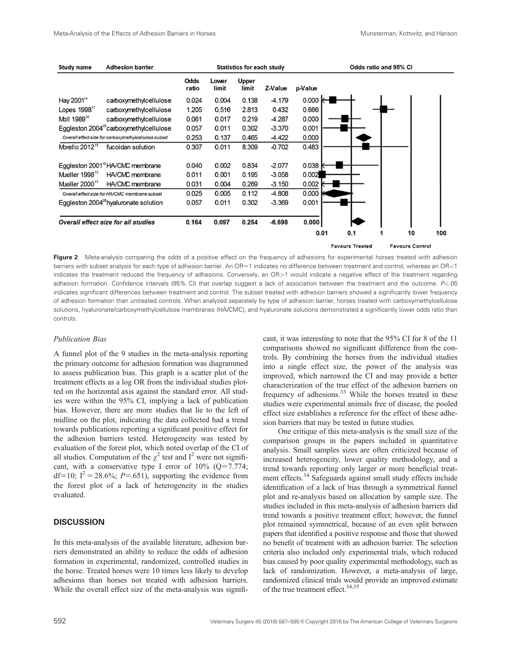

Figure 2 Meta-analysis comparing the odds of a positive effect on the frequency of adhesions for experimental horses treated with adhesion barriers with subset analysis for each type of adhesion barrier. An OR=1 indicates no difference between treatment and control, whereas an OR<1 indicates the treatment reduced the frequency of adhesions. Conversely, an OR>1 would indicate a negative effect of the treatment regarding adhesion formation. Confidence intervals (95% CI) that overlap suggest a lack of association between the treatment and the outcome. P<.05 indicates significant differences between treatment and control. The subset treated with adhesion barriers showed a significantly lower frequency of adhesion formation than untreated controls. When analyzed separately by type of adhesion barrier, horses treated with carboxymethylcellulose solutions, hyaluronate/carboxymethylcellulose membranes (HA/CMC), and hyaluronate solutions demonstrated a significantly lower odds ratio than controls.

#### Publication Bias

A funnel plot of the 9 studies in the meta-analysis reporting the primary outcome for adhesion formation was diagrammed to assess publication bias. This graph is a scatter plot of the treatment effects as a log OR from the individual studies plotted on the horizontal axis against the standard error. All studies were within the 95% CI, implying a lack of publication bias. However, there are more studies that lie to the left of midline on the plot, indicating the data collected had a trend towards publications reporting a significant positive effect for the adhesion barriers tested. Heterogeneity was tested by evaluation of the forest plot, which noted overlap of the CI of all studies. Computation of the  $\chi^2$  test and  $I^2$  were not significant, with a conservative type I error of  $10\%$  (Q=7.774; df=10;  $I^2 = 28.6\%$ ;  $P = .651$ ), supporting the evidence from the forest plot of a lack of heterogeneity in the studies evaluated.

## **DISCUSSION**

In this meta-analysis of the available literature, adhesion barriers demonstrated an ability to reduce the odds of adhesion formation in experimental, randomized, controlled studies in the horse. Treated horses were 10 times less likely to develop adhesions than horses not treated with adhesion barriers. While the overall effect size of the meta-analysis was significant, it was interesting to note that the 95% CI for 8 of the 11 comparisons showed no significant difference from the controls. By combining the horses from the individual studies into a single effect size, the power of the analysis was improved, which narrowed the CI and may provide a better characterization of the true effect of the adhesion barriers on frequency of adhesions.<sup>33</sup> While the horses treated in these studies were experimental animals free of disease, the pooled effect size establishes a reference for the effect of these adhesion barriers that may be tested in future studies.

One critique of this meta-analysis is the small size of the comparison groups in the papers included in quantitative analysis. Small samples sizes are often criticized because of increased heterogeneity, lower quality methodology, and a trend towards reporting only larger or more beneficial treatment effects.<sup>34</sup> Safeguards against small study effects include identification of a lack of bias through a symmetrical funnel plot and re-analysis based on allocation by sample size. The studies included in this meta-analysis of adhesion barriers did trend towards a positive treatment effect; however, the funnel plot remained symmetrical, because of an even split between papers that identified a positive response and those that showed no benefit of treatment with an adhesion barrier. The selection criteria also included only experimental trials, which reduced bias caused by poor quality experimental methodology, such as lack of randomization. However, a meta-analysis of large, randomized clinical trials would provide an improved estimate of the true treatment effect.<sup>34,35</sup>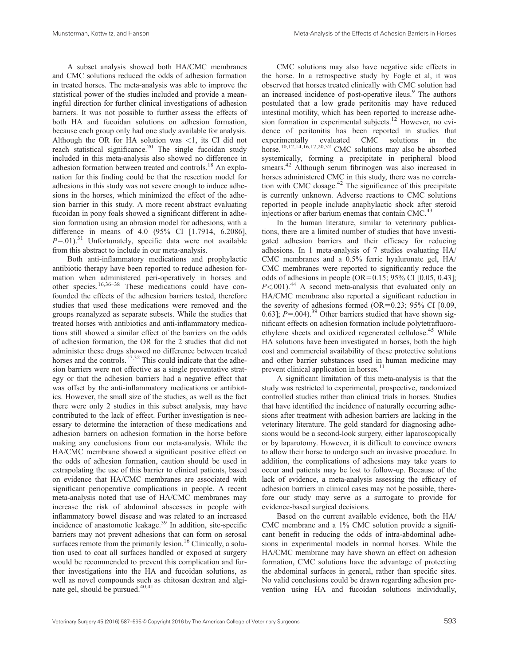A subset analysis showed both HA/CMC membranes and CMC solutions reduced the odds of adhesion formation in treated horses. The meta-analysis was able to improve the statistical power of the studies included and provide a meaningful direction for further clinical investigations of adhesion barriers. It was not possible to further assess the effects of both HA and fucoidan solutions on adhesion formation, because each group only had one study available for analysis. Although the OR for HA solution was  $\langle 1$ , its CI did not reach statistical significance.<sup>20</sup> The single fucoidan study included in this meta-analysis also showed no difference in adhesion formation between treated and controls.<sup>18</sup> An explanation for this finding could be that the resection model for adhesions in this study was not severe enough to induce adhesions in the horses, which minimized the effect of the adhesion barrier in this study. A more recent abstract evaluating fucoidan in pony foals showed a significant different in adhesion formation using an abrasion model for adhesions, with a difference in means of 4.0 (95% CI [1.7914, 6.2086],  $P=01$ ).<sup>31</sup> Unfortunately, specific data were not available from this abstract to include in our meta-analysis.

Both anti-inflammatory medications and prophylactic antibiotic therapy have been reported to reduce adhesion formation when administered peri-operatively in horses and other species.16,36–38 These medications could have confounded the effects of the adhesion barriers tested, therefore studies that used these medications were removed and the groups reanalyzed as separate subsets. While the studies that treated horses with antibiotics and anti-inflammatory medications still showed a similar effect of the barriers on the odds of adhesion formation, the OR for the 2 studies that did not administer these drugs showed no difference between treated horses and the controls. $17,32$  This could indicate that the adhesion barriers were not effective as a single preventative strategy or that the adhesion barriers had a negative effect that was offset by the anti-inflammatory medications or antibiotics. However, the small size of the studies, as well as the fact there were only 2 studies in this subset analysis, may have contributed to the lack of effect. Further investigation is necessary to determine the interaction of these medications and adhesion barriers on adhesion formation in the horse before making any conclusions from our meta-analysis. While the HA/CMC membrane showed a significant positive effect on the odds of adhesion formation, caution should be used in extrapolating the use of this barrier to clinical patients, based on evidence that HA/CMC membranes are associated with significant perioperative complications in people. A recent meta-analysis noted that use of HA/CMC membranes may increase the risk of abdominal abscesses in people with inflammatory bowel disease and was related to an increased incidence of anastomotic leakage.39 In addition, site-specific barriers may not prevent adhesions that can form on serosal surfaces remote from the primarily lesion.<sup>16</sup> Clinically, a solution used to coat all surfaces handled or exposed at surgery would be recommended to prevent this complication and further investigations into the HA and fucoidan solutions, as well as novel compounds such as chitosan dextran and alginate gel, should be pursued.<sup>40,41</sup>

CMC solutions may also have negative side effects in the horse. In a retrospective study by Fogle et al, it was observed that horses treated clinically with CMC solution had an increased incidence of post-operative ileus.<sup>9</sup> The authors postulated that a low grade peritonitis may have reduced intestinal motility, which has been reported to increase adhesion formation in experimental subjects.<sup>12</sup> However, no evidence of peritonitis has been reported in studies that experimentally evaluated CMC solutions in the horse.<sup>10,12,14,16,17,20,32</sup> CMC solutions may also be absorbed systemically, forming a precipitate in peripheral blood smears.<sup>42</sup> Although serum fibrinogen was also increased in horses administered CMC in this study, there was no correlation with CMC dosage.<sup>42</sup> The significance of this precipitate is currently unknown. Adverse reactions to CMC solutions reported in people include anaphylactic shock after steroid injections or after barium enemas that contain  $CMC<sup>4</sup>$ 

In the human literature, similar to veterinary publications, there are a limited number of studies that have investigated adhesion barriers and their efficacy for reducing adhesions. In 1 meta-analysis of 7 studies evaluating HA/ CMC membranes and a 0.5% ferric hyaluronate gel, HA/ CMC membranes were reported to significantly reduce the odds of adhesions in people  $(OR=0.15; 95% \text{ CI } [0.05, 0.43];$  $P < 0.001$ ).<sup>44</sup> A second meta-analysis that evaluated only an HA/CMC membrane also reported a significant reduction in the severity of adhesions formed  $(OR=0.23; 95% \text{ CI } [0.09,$ 0.63];  $P = 0.04$ <sup>39</sup> Other barriers studied that have shown significant effects on adhesion formation include polytetrafluoroethylene sheets and oxidized regenerated cellulose.<sup>45</sup> While HA solutions have been investigated in horses, both the high cost and commercial availability of these protective solutions and other barrier substances used in human medicine may prevent clinical application in horses.<sup>11</sup>

A significant limitation of this meta-analysis is that the study was restricted to experimental, prospective, randomized controlled studies rather than clinical trials in horses. Studies that have identified the incidence of naturally occurring adhesions after treatment with adhesion barriers are lacking in the veterinary literature. The gold standard for diagnosing adhesions would be a second-look surgery, either laparoscopically or by laparotomy. However, it is difficult to convince owners to allow their horse to undergo such an invasive procedure. In addition, the complications of adhesions may take years to occur and patients may be lost to follow-up. Because of the lack of evidence, a meta-analysis assessing the efficacy of adhesion barriers in clinical cases may not be possible, therefore our study may serve as a surrogate to provide for evidence-based surgical decisions.

Based on the current available evidence, both the HA/ CMC membrane and a 1% CMC solution provide a significant benefit in reducing the odds of intra-abdominal adhesions in experimental models in normal horses. While the HA/CMC membrane may have shown an effect on adhesion formation, CMC solutions have the advantage of protecting the abdominal surfaces in general, rather than specific sites. No valid conclusions could be drawn regarding adhesion prevention using HA and fucoidan solutions individually,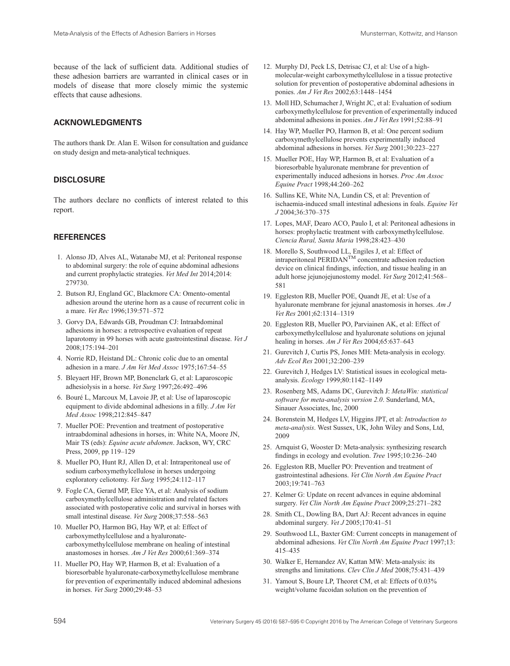because of the lack of sufficient data. Additional studies of these adhesion barriers are warranted in clinical cases or in models of disease that more closely mimic the systemic effects that cause adhesions.

# ACKNOWLEDGMENTS

The authors thank Dr. Alan E. Wilson for consultation and guidance on study design and meta-analytical techniques.

## **DISCLOSURE**

The authors declare no conflicts of interest related to this report.

# **REFERENCES**

- 1. Alonso JD, Alves AL, Watanabe MJ, et al: Peritoneal response to abdominal surgery: the role of equine abdominal adhesions and current prophylactic strategies. Vet Med Int 2014;2014: 279730.
- 2. Butson RJ, England GC, Blackmore CA: Omento-omental adhesion around the uterine horn as a cause of recurrent colic in a mare. Vet Rec 1996;139:571–572
- 3. Gorvy DA, Edwards GB, Proudman CJ: Intraabdominal adhesions in horses: a retrospective evaluation of repeat laparotomy in 99 horses with acute gastrointestinal disease. Vet J 2008;175:194–201
- 4. Norrie RD, Heistand DL: Chronic colic due to an omental adhesion in a mare. J Am Vet Med Assoc 1975;167:54–55
- 5. Bleyaert HF, Brown MP, Bonenclark G, et al: Laparoscopic adhesiolysis in a horse. Vet Surg 1997;26:492–496
- 6. Bouré L, Marcoux M, Lavoie JP, et al: Use of laparoscopic equipment to divide abdominal adhesions in a filly. J Am Vet Med Assoc 1998;212:845–847
- 7. Mueller POE: Prevention and treatment of postoperative intraabdominal adhesions in horses, in: White NA, Moore JN, Mair TS (eds): Equine acute abdomen. Jackson, WY, CRC Press, 2009, pp 119–129
- 8. Mueller PO, Hunt RJ, Allen D, et al: Intraperitoneal use of sodium carboxymethylcellulose in horses undergoing exploratory celiotomy. Vet Surg 1995;24:112–117
- 9. Fogle CA, Gerard MP, Elce YA, et al: Analysis of sodium carboxymethylcellulose administration and related factors associated with postoperative colic and survival in horses with small intestinal disease. Vet Surg 2008;37:558–563
- 10. Mueller PO, Harmon BG, Hay WP, et al: Effect of carboxymethylcellulose and a hyaluronatecarboxymethylcellulose membrane on healing of intestinal anastomoses in horses. Am J Vet Res 2000;61:369–374
- 11. Mueller PO, Hay WP, Harmon B, et al: Evaluation of a bioresorbable hyaluronate-carboxymethylcellulose membrane for prevention of experimentally induced abdominal adhesions in horses. Vet Surg 2000;29:48–53
- 12. Murphy DJ, Peck LS, Detrisac CJ, et al: Use of a highmolecular-weight carboxymethylcellulose in a tissue protective solution for prevention of postoperative abdominal adhesions in ponies. Am J Vet Res 2002;63:1448–1454
- 13. Moll HD, Schumacher J, Wright JC, et al: Evaluation of sodium carboxymethylcellulose for prevention of experimentally induced abdominal adhesions in ponies. Am J Vet Res 1991;52:88–91
- 14. Hay WP, Mueller PO, Harmon B, et al: One percent sodium carboxymethylcellulose prevents experimentally induced abdominal adhesions in horses. Vet Surg 2001;30:223–227
- 15. Mueller POE, Hay WP, Harmon B, et al: Evaluation of a bioresorbable hyaluronate membrane for prevention of experimentally induced adhesions in horses. Proc Am Assoc Equine Pract 1998;44:260–262
- 16. Sullins KE, White NA, Lundin CS, et al: Prevention of ischaemia-induced small intestinal adhesions in foals. Equine Vet J 2004;36:370–375
- 17. Lopes, MAF, Dearo ACO, Paulo I, et al: Peritoneal adhesions in horses: prophylactic treatment with carboxymethylcellulose. Ciencia Rural, Santa Maria 1998;28:423–430
- 18. Morello S, Southwood LL, Engiles J, et al: Effect of intraperitoneal PERIDAN<sup>TM</sup> concentrate adhesion reduction device on clinical findings, infection, and tissue healing in an adult horse jejunojejunostomy model. Vet Surg 2012;41:568– 581
- 19. Eggleston RB, Mueller POE, Quandt JE, et al: Use of a hyaluronate membrane for jejunal anastomosis in horses. Am J Vet Res 2001;62:1314–1319
- 20. Eggleston RB, Mueller PO, Parviainen AK, et al: Effect of carboxymethylcellulose and hyaluronate solutions on jejunal healing in horses. Am J Vet Res 2004;65:637-643
- 21. Gurevitch J, Curtis PS, Jones MH: Meta-analysis in ecology. Adv Ecol Res 2001;32:200–239
- 22. Gurevitch J, Hedges LV: Statistical issues in ecological metaanalysis. Ecology 1999;80:1142–1149
- 23. Rosenberg MS, Adams DC, Gurevitch J: MetaWin: statistical software for meta-analysis version 2.0. Sunderland, MA, Sinauer Associates, Inc, 2000
- 24. Borenstein M, Hedges LV, Higgins JPT, et al: Introduction to meta-analysis. West Sussex, UK, John Wiley and Sons, Ltd, 2009
- 25. Arnquist G, Wooster D: Meta-analysis: synthesizing research findings in ecology and evolution. Tree 1995;10:236–240
- 26. Eggleston RB, Mueller PO: Prevention and treatment of gastrointestinal adhesions. Vet Clin North Am Equine Pract 2003;19:741–763
- 27. Kelmer G: Update on recent advances in equine abdominal surgery. Vet Clin North Am Equine Pract 2009;25:271–282
- 28. Smith CL, Dowling BA, Dart AJ: Recent advances in equine abdominal surgery. Vet J 2005;170:41–51
- 29. Southwood LL, Baxter GM: Current concepts in management of abdominal adhesions. Vet Clin North Am Equine Pract 1997;13: 415–435
- 30. Walker E, Hernandez AV, Kattan MW: Meta-analysis: its strengths and limitations. Clev Clin J Med 2008;75:431–439
- 31. Yamout S, Boure LP, Theoret CM, et al: Effects of 0.03% weight/volume fucoidan solution on the prevention of